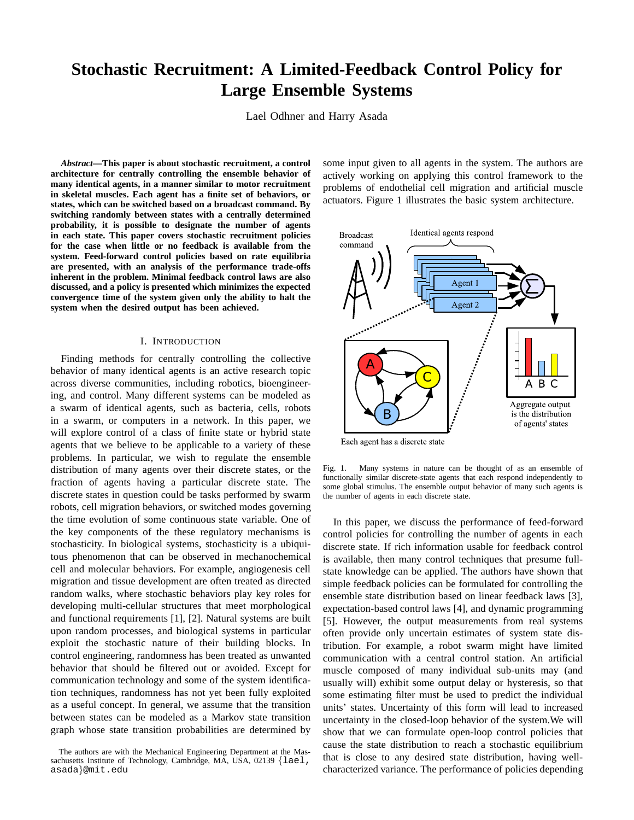# **Stochastic Recruitment: A Limited-Feedback Control Policy for Large Ensemble Systems**

Lael Odhner and Harry Asada

*Abstract***—This paper is about stochastic recruitment, a control architecture for centrally controlling the ensemble behavior of many identical agents, in a manner similar to motor recruitment in skeletal muscles. Each agent has a finite set of behaviors, or states, which can be switched based on a broadcast command. By switching randomly between states with a centrally determined probability, it is possible to designate the number of agents in each state. This paper covers stochastic recruitment policies for the case when little or no feedback is available from the system. Feed-forward control policies based on rate equilibria are presented, with an analysis of the performance trade-offs inherent in the problem. Minimal feedback control laws are also discussed, and a policy is presented which minimizes the expected convergence time of the system given only the ability to halt the system when the desired output has been achieved.**

## I. INTRODUCTION

Finding methods for centrally controlling the collective behavior of many identical agents is an active research topic across diverse communities, including robotics, bioengineering, and control. Many different systems can be modeled as a swarm of identical agents, such as bacteria, cells, robots in a swarm, or computers in a network. In this paper, we will explore control of a class of finite state or hybrid state agents that we believe to be applicable to a variety of these problems. In particular, we wish to regulate the ensemble distribution of many agents over their discrete states, or the fraction of agents having a particular discrete state. The discrete states in question could be tasks performed by swarm robots, cell migration behaviors, or switched modes governing the time evolution of some continuous state variable. One of the key components of the these regulatory mechanisms is stochasticity. In biological systems, stochasticity is a ubiquitous phenomenon that can be observed in mechanochemical cell and molecular behaviors. For example, angiogenesis cell migration and tissue development are often treated as directed random walks, where stochastic behaviors play key roles for developing multi-cellular structures that meet morphological and functional requirements [1], [2]. Natural systems are built upon random processes, and biological systems in particular exploit the stochastic nature of their building blocks. In control engineering, randomness has been treated as unwanted behavior that should be filtered out or avoided. Except for communication technology and some of the system identification techniques, randomness has not yet been fully exploited as a useful concept. In general, we assume that the transition between states can be modeled as a Markov state transition graph whose state transition probabilities are determined by

some input given to all agents in the system. The authors are actively working on applying this control framework to the problems of endothelial cell migration and artificial muscle actuators. Figure 1 illustrates the basic system architecture.



Each agent has a discrete state

Fig. 1. Many systems in nature can be thought of as an ensemble of functionally similar discrete-state agents that each respond independently to some global stimulus. The ensemble output behavior of many such agents is the number of agents in each discrete state.

In this paper, we discuss the performance of feed-forward control policies for controlling the number of agents in each discrete state. If rich information usable for feedback control is available, then many control techniques that presume fullstate knowledge can be applied. The authors have shown that simple feedback policies can be formulated for controlling the ensemble state distribution based on linear feedback laws [3], expectation-based control laws [4], and dynamic programming [5]. However, the output measurements from real systems often provide only uncertain estimates of system state distribution. For example, a robot swarm might have limited communication with a central control station. An artificial muscle composed of many individual sub-units may (and usually will) exhibit some output delay or hysteresis, so that some estimating filter must be used to predict the individual units' states. Uncertainty of this form will lead to increased uncertainty in the closed-loop behavior of the system.We will show that we can formulate open-loop control policies that cause the state distribution to reach a stochastic equilibrium that is close to any desired state distribution, having wellcharacterized variance. The performance of policies depending

The authors are with the Mechanical Engineering Department at the Massachusetts Institute of Technology, Cambridge, MA, USA, 02139 {lael, asada}@mit.edu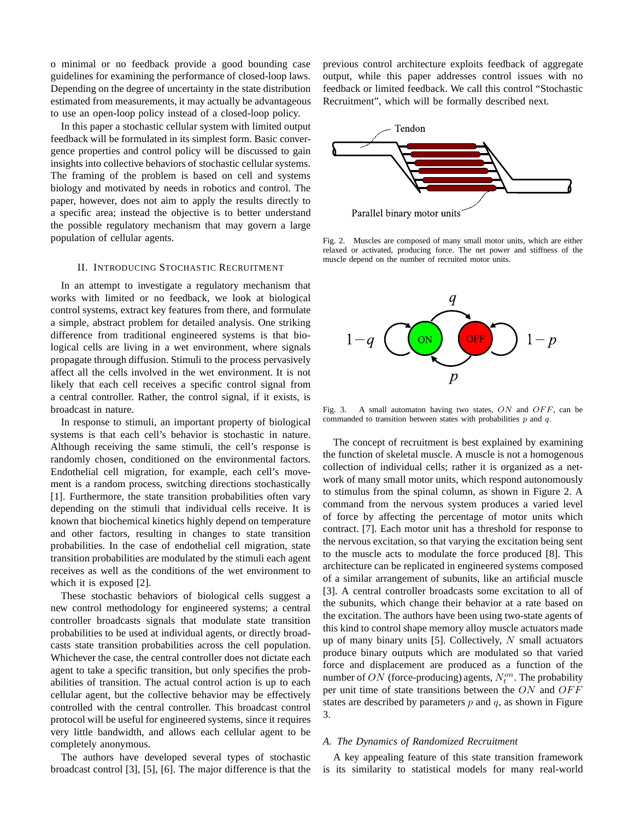o minimal or no feedback provide a good bounding case guidelines for examining the performance of closed-loop laws. Depending on the degree of uncertainty in the state distribution estimated from measurements, it may actually be advantageous to use an open-loop policy instead of a closed-loop policy.

In this paper a stochastic cellular system with limited output feedback will be formulated in its simplest form. Basic convergence properties and control policy will be discussed to gain insights into collective behaviors of stochastic cellular systems. The framing of the problem is based on cell and systems biology and motivated by needs in robotics and control. The paper, however, does not aim to apply the results directly to a specific area; instead the objective is to better understand the possible regulatory mechanism that may govern a large population of cellular agents.

## II. INTRODUCING STOCHASTIC RECRUITMENT

In an attempt to investigate a regulatory mechanism that works with limited or no feedback, we look at biological control systems, extract key features from there, and formulate a simple, abstract problem for detailed analysis. One striking difference from traditional engineered systems is that biological cells are living in a wet environment, where signals propagate through diffusion. Stimuli to the process pervasively affect all the cells involved in the wet environment. It is not likely that each cell receives a specific control signal from a central controller. Rather, the control signal, if it exists, is broadcast in nature.

In response to stimuli, an important property of biological systems is that each cell's behavior is stochastic in nature. Although receiving the same stimuli, the cell's response is randomly chosen, conditioned on the environmental factors. Endothelial cell migration, for example, each cell's movement is a random process, switching directions stochastically [1]. Furthermore, the state transition probabilities often vary depending on the stimuli that individual cells receive. It is known that biochemical kinetics highly depend on temperature and other factors, resulting in changes to state transition probabilities. In the case of endothelial cell migration, state transition probabilities are modulated by the stimuli each agent receives as well as the conditions of the wet environment to which it is exposed [2].

These stochastic behaviors of biological cells suggest a new control methodology for engineered systems; a central controller broadcasts signals that modulate state transition probabilities to be used at individual agents, or directly broadcasts state transition probabilities across the cell population. Whichever the case, the central controller does not dictate each agent to take a specific transition, but only specifies the probabilities of transition. The actual control action is up to each cellular agent, but the collective behavior may be effectively controlled with the central controller. This broadcast control protocol will be useful for engineered systems, since it requires very little bandwidth, and allows each cellular agent to be completely anonymous.

The authors have developed several types of stochastic broadcast control [3], [5], [6]. The major difference is that the previous control architecture exploits feedback of aggregate output, while this paper addresses control issues with no feedback or limited feedback. We call this control "Stochastic Recruitment", which will be formally described next.



Fig. 2. Muscles are composed of many small motor units, which are either relaxed or activated, producing force. The net power and stiffness of the muscle depend on the number of recruited motor units.



Fig. 3. A small automaton having two states,  $ON$  and  $OFF$ , can be commanded to transition between states with probabilities  $p$  and  $q$ .

The concept of recruitment is best explained by examining the function of skeletal muscle. A muscle is not a homogenous collection of individual cells; rather it is organized as a network of many small motor units, which respond autonomously to stimulus from the spinal column, as shown in Figure 2. A command from the nervous system produces a varied level of force by affecting the percentage of motor units which contract. [7]. Each motor unit has a threshold for response to the nervous excitation, so that varying the excitation being sent to the muscle acts to modulate the force produced [8]. This architecture can be replicated in engineered systems composed of a similar arrangement of subunits, like an artificial muscle [3]. A central controller broadcasts some excitation to all of the subunits, which change their behavior at a rate based on the excitation. The authors have been using two-state agents of this kind to control shape memory alloy muscle actuators made up of many binary units  $[5]$ . Collectively, N small actuators produce binary outputs which are modulated so that varied force and displacement are produced as a function of the number of ON (force-producing) agents,  $N_t^{on}$ . The probability per unit time of state transitions between the  $ON$  and  $OFF$ states are described by parameters  $p$  and  $q$ , as shown in Figure 3.

## *A. The Dynamics of Randomized Recruitment*

A key appealing feature of this state transition framework is its similarity to statistical models for many real-world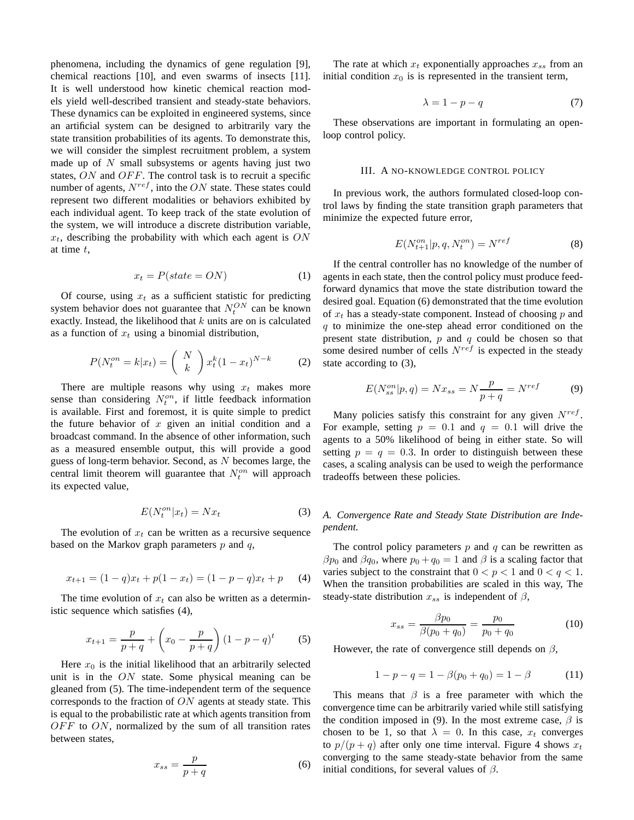phenomena, including the dynamics of gene regulation [9], chemical reactions [10], and even swarms of insects [11]. It is well understood how kinetic chemical reaction models yield well-described transient and steady-state behaviors. These dynamics can be exploited in engineered systems, since an artificial system can be designed to arbitrarily vary the state transition probabilities of its agents. To demonstrate this, we will consider the simplest recruitment problem, a system made up of  $N$  small subsystems or agents having just two states,  $ON$  and  $OFF$ . The control task is to recruit a specific number of agents,  $N^{ref}$ , into the ON state. These states could represent two different modalities or behaviors exhibited by each individual agent. To keep track of the state evolution of the system, we will introduce a discrete distribution variable,  $x_t$ , describing the probability with which each agent is ON at time  $t$ ,

$$
x_t = P(state = ON)
$$
 (1)

Of course, using  $x_t$  as a sufficient statistic for predicting system behavior does not guarantee that  $N_t^{ON}$  can be known exactly. Instead, the likelihood that  $k$  units are on is calculated as a function of  $x_t$  using a binomial distribution,

$$
P(N_t^{on} = k | x_t) = {N \choose k} x_t^k (1 - x_t)^{N-k}
$$
 (2)

There are multiple reasons why using  $x_t$  makes more sense than considering  $N_t^{on}$ , if little feedback information is available. First and foremost, it is quite simple to predict the future behavior of  $x$  given an initial condition and a broadcast command. In the absence of other information, such as a measured ensemble output, this will provide a good guess of long-term behavior. Second, as N becomes large, the central limit theorem will guarantee that  $N_t^{on}$  will approach its expected value,

$$
E(N_t^{on}|x_t) = Nx_t
$$
\n(3)

The evolution of  $x_t$  can be written as a recursive sequence based on the Markov graph parameters  $p$  and  $q$ ,

$$
x_{t+1} = (1-q)x_t + p(1-x_t) = (1-p-q)x_t + p \qquad (4)
$$

The time evolution of  $x_t$  can also be written as a deterministic sequence which satisfies (4),

$$
x_{t+1} = \frac{p}{p+q} + \left(x_0 - \frac{p}{p+q}\right) (1 - p - q)^t \tag{5}
$$

Here  $x_0$  is the initial likelihood that an arbitrarily selected unit is in the  $ON$  state. Some physical meaning can be gleaned from (5). The time-independent term of the sequence corresponds to the fraction of  $ON$  agents at steady state. This is equal to the probabilistic rate at which agents transition from  $OFF$  to  $ON$ , normalized by the sum of all transition rates between states,

$$
x_{ss} = \frac{p}{p+q} \tag{6}
$$

The rate at which  $x_t$  exponentially approaches  $x_{ss}$  from an initial condition  $x_0$  is is represented in the transient term,

$$
\lambda = 1 - p - q \tag{7}
$$

These observations are important in formulating an openloop control policy.

#### III. A NO-KNOWLEDGE CONTROL POLICY

In previous work, the authors formulated closed-loop control laws by finding the state transition graph parameters that minimize the expected future error,

$$
E(N_{t+1}^{on}|p,q,N_t^{on}) = N^{ref}
$$
\n<sup>(8)</sup>

If the central controller has no knowledge of the number of agents in each state, then the control policy must produce feedforward dynamics that move the state distribution toward the desired goal. Equation (6) demonstrated that the time evolution of  $x_t$  has a steady-state component. Instead of choosing p and  $q$  to minimize the one-step ahead error conditioned on the present state distribution,  $p$  and  $q$  could be chosen so that some desired number of cells  $N^{ref}$  is expected in the steady state according to (3),

$$
E(N_{ss}^{on}|p,q) = Nx_{ss} = N\frac{p}{p+q} = N^{ref}
$$
 (9)

Many policies satisfy this constraint for any given  $N^{ref}$ . For example, setting  $p = 0.1$  and  $q = 0.1$  will drive the agents to a 50% likelihood of being in either state. So will setting  $p = q = 0.3$ . In order to distinguish between these cases, a scaling analysis can be used to weigh the performance tradeoffs between these policies.

# *A. Convergence Rate and Steady State Distribution are Independent.*

The control policy parameters  $p$  and  $q$  can be rewritten as  $\beta p_0$  and  $\beta q_0$ , where  $p_0 + q_0 = 1$  and  $\beta$  is a scaling factor that varies subject to the constraint that  $0 < p < 1$  and  $0 < q < 1$ . When the transition probabilities are scaled in this way, The steady-state distribution  $x_{ss}$  is independent of  $\beta$ ,

$$
x_{ss} = \frac{\beta p_0}{\beta (p_0 + q_0)} = \frac{p_0}{p_0 + q_0} \tag{10}
$$

However, the rate of convergence still depends on  $\beta$ ,

$$
1 - p - q = 1 - \beta(p_0 + q_0) = 1 - \beta \tag{11}
$$

This means that  $\beta$  is a free parameter with which the convergence time can be arbitrarily varied while still satisfying the condition imposed in (9). In the most extreme case,  $\beta$  is chosen to be 1, so that  $\lambda = 0$ . In this case,  $x_t$  converges to  $p/(p+q)$  after only one time interval. Figure 4 shows  $x_t$ converging to the same steady-state behavior from the same initial conditions, for several values of  $\beta$ .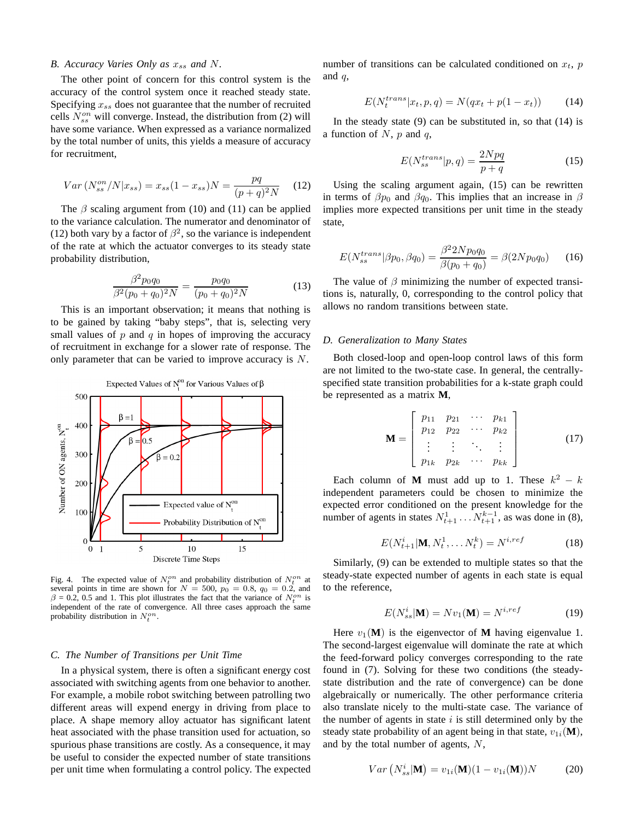# *B. Accuracy Varies Only as*  $x_{ss}$  *and* N.

The other point of concern for this control system is the accuracy of the control system once it reached steady state. Specifying  $x_{ss}$  does not guarantee that the number of recruited cells  $N_{ss}^{on}$  will converge. Instead, the distribution from (2) will have some variance. When expressed as a variance normalized by the total number of units, this yields a measure of accuracy for recruitment,

$$
Var\left(N_{ss}^{on}/N|x_{ss}\right) = x_{ss}(1 - x_{ss})N = \frac{pq}{(p+q)^2N} \tag{12}
$$

The  $\beta$  scaling argument from (10) and (11) can be applied to the variance calculation. The numerator and denominator of (12) both vary by a factor of  $\beta^2$ , so the variance is independent of the rate at which the actuator converges to its steady state probability distribution,

$$
\frac{\beta^2 p_0 q_0}{\beta^2 (p_0 + q_0)^2 N} = \frac{p_0 q_0}{(p_0 + q_0)^2 N}
$$
(13)

This is an important observation; it means that nothing is to be gained by taking "baby steps", that is, selecting very small values of  $p$  and  $q$  in hopes of improving the accuracy of recruitment in exchange for a slower rate of response. The only parameter that can be varied to improve accuracy is N.



Fig. 4. The expected value of  $N_t^{on}$  and probability distribution of  $N_t^{on}$  at several points in time are shown for  $N = 500$ ,  $p_0 = 0.8$ ,  $q_0 = 0.2$ , and  $\beta = 0.2$ , 0.5 and 1. This plot illustrates the fact that the variance of  $N_t^{on}$  is independent of the rate of convergence. All three cases approach the same probability distribution in  $N_t^{on}$ .

## *C. The Number of Transitions per Unit Time*

In a physical system, there is often a significant energy cost associated with switching agents from one behavior to another. For example, a mobile robot switching between patrolling two different areas will expend energy in driving from place to place. A shape memory alloy actuator has significant latent heat associated with the phase transition used for actuation, so spurious phase transitions are costly. As a consequence, it may be useful to consider the expected number of state transitions per unit time when formulating a control policy. The expected number of transitions can be calculated conditioned on  $x_t$ , p and  $q$ ,

$$
E(N_t^{trans}|x_t, p, q) = N(qx_t + p(1 - x_t))
$$
\n(14)

In the steady state (9) can be substituted in, so that (14) is a function of  $N$ ,  $p$  and  $q$ ,

$$
E(N_{ss}^{trans}|p,q) = \frac{2Npq}{p+q}
$$
 (15)

Using the scaling argument again, (15) can be rewritten in terms of  $\beta p_0$  and  $\beta q_0$ . This implies that an increase in  $\beta$ implies more expected transitions per unit time in the steady state,

$$
E(N_{ss}^{trans}|\beta p_0, \beta q_0) = \frac{\beta^2 2N p_0 q_0}{\beta(p_0 + q_0)} = \beta(2N p_0 q_0)
$$
 (16)

The value of  $\beta$  minimizing the number of expected transitions is, naturally, 0, corresponding to the control policy that allows no random transitions between state.

## *D. Generalization to Many States*

Both closed-loop and open-loop control laws of this form are not limited to the two-state case. In general, the centrallyspecified state transition probabilities for a k-state graph could be represented as a matrix **M**,

$$
\mathbf{M} = \begin{bmatrix} p_{11} & p_{21} & \cdots & p_{k1} \\ p_{12} & p_{22} & \cdots & p_{k2} \\ \vdots & \vdots & \ddots & \vdots \\ p_{1k} & p_{2k} & \cdots & p_{kk} \end{bmatrix}
$$
 (17)

Each column of **M** must add up to 1. These  $k^2 - k$ independent parameters could be chosen to minimize the expected error conditioned on the present knowledge for the number of agents in states  $N_{t+1}^1 \ldots N_{t+1}^{k-1}$ , as was done in (8),

$$
E(N_{t+1}^i | \mathbf{M}, N_t^1, \dots N_t^k) = N^{i, ref} \tag{18}
$$

Similarly, (9) can be extended to multiple states so that the steady-state expected number of agents in each state is equal to the reference,

$$
E(N_{ss}^{i}|\mathbf{M}) = Nv_1(\mathbf{M}) = N^{i,ref}
$$
 (19)

Here  $v_1(\mathbf{M})$  is the eigenvector of **M** having eigenvalue 1. The second-largest eigenvalue will dominate the rate at which the feed-forward policy converges corresponding to the rate found in (7). Solving for these two conditions (the steadystate distribution and the rate of convergence) can be done algebraically or numerically. The other performance criteria also translate nicely to the multi-state case. The variance of the number of agents in state  $i$  is still determined only by the steady state probability of an agent being in that state,  $v_{1i}(\mathbf{M})$ , and by the total number of agents, N,

$$
Var\left(N_{ss}^{i}|\mathbf{M}\right) = v_{1i}(\mathbf{M})(1 - v_{1i}(\mathbf{M}))N\tag{20}
$$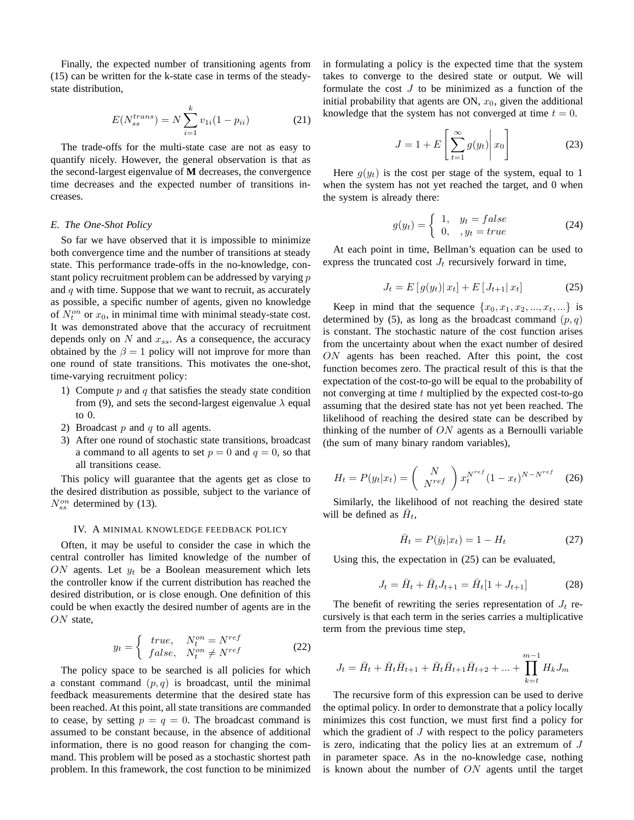Finally, the expected number of transitioning agents from (15) can be written for the k-state case in terms of the steadystate distribution,

$$
E(N_{ss}^{trans}) = N \sum_{i=1}^{k} v_{1i} (1 - p_{ii})
$$
 (21)

The trade-offs for the multi-state case are not as easy to quantify nicely. However, the general observation is that as the second-largest eigenvalue of **M** decreases, the convergence time decreases and the expected number of transitions increases.

#### *E. The One-Shot Policy*

So far we have observed that it is impossible to minimize both convergence time and the number of transitions at steady state. This performance trade-offs in the no-knowledge, constant policy recruitment problem can be addressed by varying  $p$ and  $q$  with time. Suppose that we want to recruit, as accurately as possible, a specific number of agents, given no knowledge of  $N_t^{on}$  or  $x_0$ , in minimal time with minimal steady-state cost. It was demonstrated above that the accuracy of recruitment depends only on  $N$  and  $x_{ss}$ . As a consequence, the accuracy obtained by the  $\beta = 1$  policy will not improve for more than one round of state transitions. This motivates the one-shot, time-varying recruitment policy:

- 1) Compute  $p$  and  $q$  that satisfies the steady state condition from (9), and sets the second-largest eigenvalue  $\lambda$  equal to 0.
- 2) Broadcast  $p$  and  $q$  to all agents.
- 3) After one round of stochastic state transitions, broadcast a command to all agents to set  $p = 0$  and  $q = 0$ , so that all transitions cease.

This policy will guarantee that the agents get as close to the desired distribution as possible, subject to the variance of  $N_{ss}^{on}$  determined by (13).

### IV. A MINIMAL KNOWLEDGE FEEDBACK POLICY

Often, it may be useful to consider the case in which the central controller has limited knowledge of the number of ON agents. Let  $y_t$  be a Boolean measurement which lets the controller know if the current distribution has reached the desired distribution, or is close enough. One definition of this could be when exactly the desired number of agents are in the ON state,

$$
y_t = \begin{cases} \ntrue, & N_t^{on} = N^{ref} \\ \nfalse, & N_t^{on} \neq N^{ref} \n\end{cases} \tag{22}
$$

The policy space to be searched is all policies for which a constant command  $(p, q)$  is broadcast, until the minimal feedback measurements determine that the desired state has been reached. At this point, all state transitions are commanded to cease, by setting  $p = q = 0$ . The broadcast command is assumed to be constant because, in the absence of additional information, there is no good reason for changing the command. This problem will be posed as a stochastic shortest path problem. In this framework, the cost function to be minimized

in formulating a policy is the expected time that the system takes to converge to the desired state or output. We will formulate the cost  $J$  to be minimized as a function of the initial probability that agents are ON,  $x<sub>0</sub>$ , given the additional knowledge that the system has not converged at time  $t = 0$ .

$$
J = 1 + E\left[\sum_{t=1}^{\infty} g(y_t) \middle| x_0\right]
$$
 (23)

Here  $g(y_t)$  is the cost per stage of the system, equal to 1 when the system has not yet reached the target, and 0 when the system is already there:

$$
g(y_t) = \begin{cases} 1, & y_t = false \\ 0, & y_t = true \end{cases} \tag{24}
$$

At each point in time, Bellman's equation can be used to express the truncated cost  $J_t$  recursively forward in time,

$$
J_t = E[g(y_t) | x_t] + E[J_{t+1} | x_t]
$$
 (25)

Keep in mind that the sequence  $\{x_0, x_1, x_2, ..., x_t, ...\}$  is determined by (5), as long as the broadcast command  $(p, q)$ is constant. The stochastic nature of the cost function arises from the uncertainty about when the exact number of desired ON agents has been reached. After this point, the cost function becomes zero. The practical result of this is that the expectation of the cost-to-go will be equal to the probability of not converging at time  $t$  multiplied by the expected cost-to-go assuming that the desired state has not yet been reached. The likelihood of reaching the desired state can be described by thinking of the number of  $ON$  agents as a Bernoulli variable (the sum of many binary random variables),

$$
H_t = P(y_t|x_t) = \left(\begin{array}{c} N \\ N^{ref} \end{array}\right) x_t^{N^{ref}} (1 - x_t)^{N - N^{ref}} \quad (26)
$$

Similarly, the likelihood of not reaching the desired state will be defined as  $\bar{H}_t$ ,

$$
\bar{H}_t = P(\bar{y}_t|x_t) = 1 - H_t \tag{27}
$$

Using this, the expectation in (25) can be evaluated,

$$
J_t = \bar{H}_t + \bar{H}_t J_{t+1} = \bar{H}_t [1 + J_{t+1}] \tag{28}
$$

The benefit of rewriting the series representation of  $J_t$  recursively is that each term in the series carries a multiplicative term from the previous time step,

$$
J_t = \bar{H}_t + \bar{H}_t \bar{H}_{t+1} + \bar{H}_t \bar{H}_{t+1} \bar{H}_{t+2} + \dots + \prod_{k=t}^{m-1} H_k J_m
$$

The recursive form of this expression can be used to derive the optimal policy. In order to demonstrate that a policy locally minimizes this cost function, we must first find a policy for which the gradient of  $J$  with respect to the policy parameters is zero, indicating that the policy lies at an extremum of  $J$ in parameter space. As in the no-knowledge case, nothing is known about the number of  $ON$  agents until the target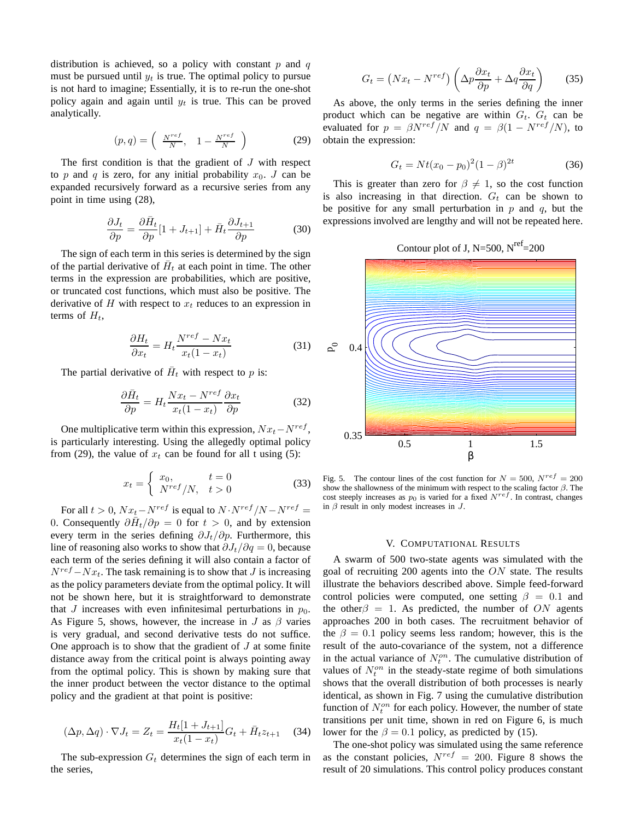distribution is achieved, so a policy with constant  $p$  and  $q$ must be pursued until  $y_t$  is true. The optimal policy to pursue is not hard to imagine; Essentially, it is to re-run the one-shot policy again and again until  $y_t$  is true. This can be proved analytically.

$$
(p,q) = \left(\begin{array}{cc} \frac{N^{ref}}{N}, & 1 - \frac{N^{ref}}{N} \end{array}\right) \tag{29}
$$

The first condition is that the gradient of  $J$  with respect to p and q is zero, for any initial probability  $x_0$ . J can be expanded recursively forward as a recursive series from any point in time using (28),

$$
\frac{\partial J_t}{\partial p} = \frac{\partial \bar{H}_t}{\partial p} [1 + J_{t+1}] + \bar{H}_t \frac{\partial J_{t+1}}{\partial p}
$$
(30)

The sign of each term in this series is determined by the sign of the partial derivative of  $\bar{H}_t$  at each point in time. The other terms in the expression are probabilities, which are positive, or truncated cost functions, which must also be positive. The derivative of H with respect to  $x_t$  reduces to an expression in terms of  $H_t$ ,

$$
\frac{\partial H_t}{\partial x_t} = H_t \frac{N^{ref} - Nx_t}{x_t(1 - x_t)}
$$
(31)

The partial derivative of  $\bar{H}_t$  with respect to p is:

$$
\frac{\partial \bar{H}_t}{\partial p} = H_t \frac{Nx_t - N^{ref}}{x_t(1 - x_t)} \frac{\partial x_t}{\partial p}
$$
(32)

One multiplicative term within this expression,  $Nx_t - N^{ref}$ , is particularly interesting. Using the allegedly optimal policy from (29), the value of  $x_t$  can be found for all t using (5):

$$
x_t = \begin{cases} x_0, & t = 0\\ N^{ref}/N, & t > 0 \end{cases}
$$
 (33)

For all  $t > 0$ ,  $Nx_t - N^{ref}$  is equal to  $N \cdot N^{ref}/N - N^{ref} =$ 0. Consequently  $\partial \bar{H}_t / \partial p = 0$  for  $t > 0$ , and by extension every term in the series defining  $\partial J_t/\partial p$ . Furthermore, this line of reasoning also works to show that  $\partial J_t/\partial q = 0$ , because each term of the series defining it will also contain a factor of  $N^{ref}-Nx_t$ . The task remaining is to show that J is increasing as the policy parameters deviate from the optimal policy. It will not be shown here, but it is straightforward to demonstrate that J increases with even infinitesimal perturbations in  $p_0$ . As Figure 5, shows, however, the increase in J as  $\beta$  varies is very gradual, and second derivative tests do not suffice. One approach is to show that the gradient of  $J$  at some finite distance away from the critical point is always pointing away from the optimal policy. This is shown by making sure that the inner product between the vector distance to the optimal policy and the gradient at that point is positive:

$$
(\Delta p, \Delta q) \cdot \nabla J_t = Z_t = \frac{H_t[1 + J_{t+1}]}{x_t(1 - x_t)} G_t + \bar{H}_t z_{t+1}
$$
 (34)

The sub-expression  $G_t$  determines the sign of each term in the series,

$$
G_t = \left( Nx_t - N^{ref} \right) \left( \Delta p \frac{\partial x_t}{\partial p} + \Delta q \frac{\partial x_t}{\partial q} \right) \tag{35}
$$

As above, the only terms in the series defining the inner product which can be negative are within  $G_t$ .  $G_t$  can be evaluated for  $p = \beta N^{ref}/N$  and  $q = \beta(1 - N^{ref}/N)$ , to obtain the expression:

$$
G_t = Nt(x_0 - p_0)^2 (1 - \beta)^{2t}
$$
 (36)

This is greater than zero for  $\beta \neq 1$ , so the cost function is also increasing in that direction.  $G_t$  can be shown to be positive for any small perturbation in  $p$  and  $q$ , but the expressions involved are lengthy and will not be repeated here.

Contour plot of J, N=500, 
$$
N^{\text{ref}}=200
$$



Fig. 5. The contour lines of the cost function for  $N = 500$ ,  $N^{ref} = 200$ show the shallowness of the minimum with respect to the scaling factor  $\beta$ . The cost steeply increases as  $p_0$  is varied for a fixed  $N^{ref}$ . In contrast, changes in  $\beta$  result in only modest increases in  $J$ .

#### V. COMPUTATIONAL RESULTS

A swarm of 500 two-state agents was simulated with the goal of recruiting 200 agents into the  $ON$  state. The results illustrate the behaviors described above. Simple feed-forward control policies were computed, one setting  $\beta = 0.1$  and the other  $\beta = 1$ . As predicted, the number of ON agents approaches 200 in both cases. The recruitment behavior of the  $\beta = 0.1$  policy seems less random; however, this is the result of the auto-covariance of the system, not a difference in the actual variance of  $N_t^{on}$ . The cumulative distribution of values of  $N_t^{on}$  in the steady-state regime of both simulations shows that the overall distribution of both processes is nearly identical, as shown in Fig. 7 using the cumulative distribution function of  $N_t^{on}$  for each policy. However, the number of state transitions per unit time, shown in red on Figure 6, is much lower for the  $\beta = 0.1$  policy, as predicted by (15).

The one-shot policy was simulated using the same reference as the constant policies,  $N^{ref} = 200$ . Figure 8 shows the result of 20 simulations. This control policy produces constant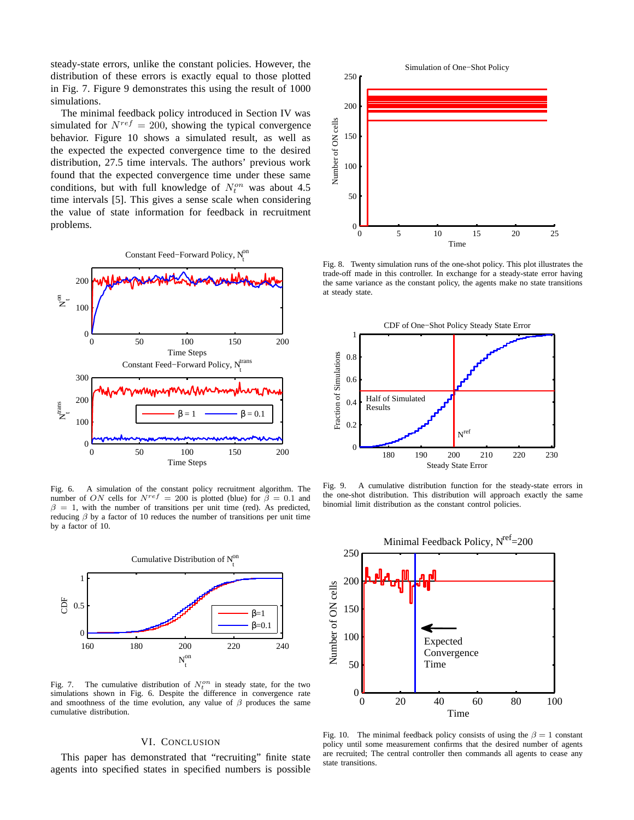steady-state errors, unlike the constant policies. However, the distribution of these errors is exactly equal to those plotted in Fig. 7. Figure 9 demonstrates this using the result of 1000 simulations.

The minimal feedback policy introduced in Section IV was simulated for  $N^{ref} = 200$ , showing the typical convergence behavior. Figure 10 shows a simulated result, as well as the expected the expected convergence time to the desired distribution, 27.5 time intervals. The authors' previous work found that the expected convergence time under these same conditions, but with full knowledge of  $N_t^{on}$  was about 4.5 time intervals [5]. This gives a sense scale when considering the value of state information for feedback in recruitment problems.



Fig. 6. A simulation of the constant policy recruitment algorithm. The number of ON cells for  $N^{ref} = 200$  is plotted (blue) for  $\tilde{\beta} = 0.1$  and  $\beta = 1$ , with the number of transitions per unit time (red). As predicted, reducing β by a factor of 10 reduces the number of transitions per unit time by a factor of 10.



Fig. 7. The cumulative distribution of  $N_t^{on}$  in steady state, for the two simulations shown in Fig. 6. Despite the difference in convergence rate and smoothness of the time evolution, any value of  $\beta$  produces the same cumulative distribution.

# VI. CONCLUSION

This paper has demonstrated that "recruiting" finite state agents into specified states in specified numbers is possible



Fig. 8. Twenty simulation runs of the one-shot policy. This plot illustrates the trade-off made in this controller. In exchange for a steady-state error having the same variance as the constant policy, the agents make no state transitions at steady state.



Fig. 9. A cumulative distribution function for the steady-state errors in the one-shot distribution. This distribution will approach exactly the same binomial limit distribution as the constant control policies.



Fig. 10. The minimal feedback policy consists of using the  $\beta = 1$  constant policy until some measurement confirms that the desired number of agents are recruited; The central controller then commands all agents to cease any state transitions.